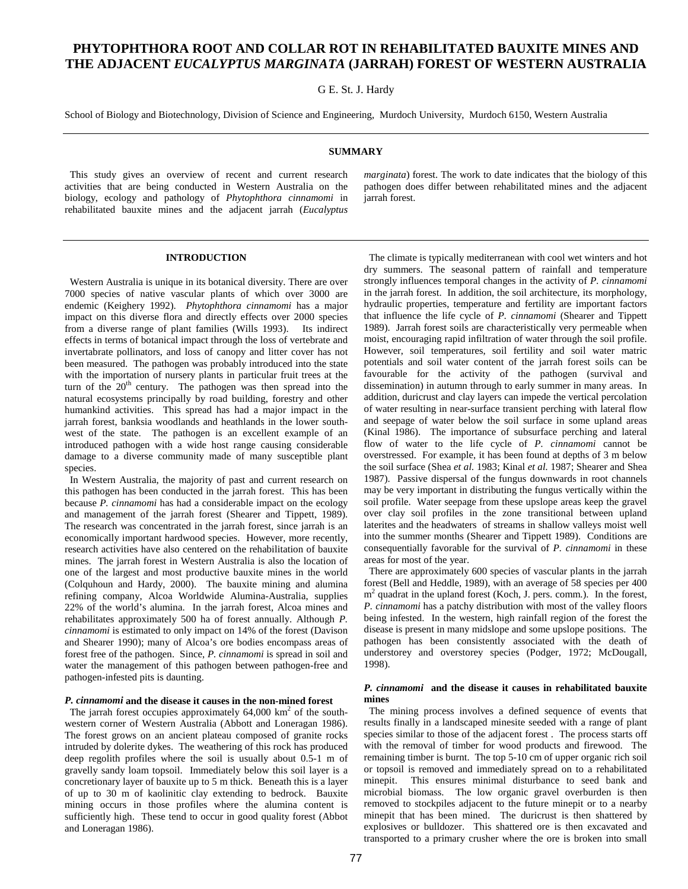# **PHYTOPHTHORA ROOT AND COLLAR ROT IN REHABILITATED BAUXITE MINES AND THE ADJACENT** *EUCALYPTUS MARGINATA* **(JARRAH) FOREST OF WESTERN AUSTRALIA**

## G E. St. J. Hardy

School of Biology and Biotechnology, Division of Science and Engineering, Murdoch University, Murdoch 6150, Western Australia

## **SUMMARY**

 This study gives an overview of recent and current research activities that are being conducted in Western Australia on the biology, ecology and pathology of *Phytophthora cinnamomi* in rehabilitated bauxite mines and the adjacent jarrah (*Eucalyptus* *marginata*) forest. The work to date indicates that the biology of this pathogen does differ between rehabilitated mines and the adjacent jarrah forest.

## **INTRODUCTION**

 Western Australia is unique in its botanical diversity. There are over 7000 species of native vascular plants of which over 3000 are endemic (Keighery 1992). *Phytophthora cinnamomi* has a major impact on this diverse flora and directly effects over 2000 species from a diverse range of plant families (Wills 1993). Its indirect effects in terms of botanical impact through the loss of vertebrate and invertabrate pollinators, and loss of canopy and litter cover has not been measured. The pathogen was probably introduced into the state with the importation of nursery plants in particular fruit trees at the turn of the  $20<sup>th</sup>$  century. The pathogen was then spread into the natural ecosystems principally by road building, forestry and other humankind activities. This spread has had a major impact in the jarrah forest, banksia woodlands and heathlands in the lower southwest of the state. The pathogen is an excellent example of an introduced pathogen with a wide host range causing considerable damage to a diverse community made of many susceptible plant species.

 In Western Australia, the majority of past and current research on this pathogen has been conducted in the jarrah forest. This has been because *P. cinnamomi* has had a considerable impact on the ecology and management of the jarrah forest (Shearer and Tippett, 1989). The research was concentrated in the jarrah forest, since jarrah is an economically important hardwood species. However, more recently, research activities have also centered on the rehabilitation of bauxite mines. The jarrah forest in Western Australia is also the location of one of the largest and most productive bauxite mines in the world (Colquhoun and Hardy, 2000). The bauxite mining and alumina refining company, Alcoa Worldwide Alumina-Australia, supplies 22% of the world's alumina. In the jarrah forest, Alcoa mines and rehabilitates approximately 500 ha of forest annually. Although *P. cinnamomi* is estimated to only impact on 14% of the forest (Davison and Shearer 1990); many of Alcoa's ore bodies encompass areas of forest free of the pathogen. Since, *P. cinnamomi* is spread in soil and water the management of this pathogen between pathogen-free and pathogen-infested pits is daunting.

#### *P. cinnamomi* **and the disease it causes in the non-mined forest**

The jarrah forest occupies approximately  $64,000 \text{ km}^2$  of the southwestern corner of Western Australia (Abbott and Loneragan 1986). The forest grows on an ancient plateau composed of granite rocks intruded by dolerite dykes. The weathering of this rock has produced deep regolith profiles where the soil is usually about 0.5-1 m of gravelly sandy loam topsoil. Immediately below this soil layer is a concretionary layer of bauxite up to 5 m thick. Beneath this is a layer of up to 30 m of kaolinitic clay extending to bedrock. Bauxite mining occurs in those profiles where the alumina content is sufficiently high. These tend to occur in good quality forest (Abbot and Loneragan 1986).

 The climate is typically mediterranean with cool wet winters and hot dry summers. The seasonal pattern of rainfall and temperature strongly influences temporal changes in the activity of *P. cinnamomi* in the jarrah forest. In addition, the soil architecture, its morphology, hydraulic properties, temperature and fertility are important factors that influence the life cycle of *P. cinnamomi* (Shearer and Tippett 1989). Jarrah forest soils are characteristically very permeable when moist, encouraging rapid infiltration of water through the soil profile. However, soil temperatures, soil fertility and soil water matric potentials and soil water content of the jarrah forest soils can be favourable for the activity of the pathogen (survival and dissemination) in autumn through to early summer in many areas. In addition, duricrust and clay layers can impede the vertical percolation of water resulting in near-surface transient perching with lateral flow and seepage of water below the soil surface in some upland areas (Kinal 1986). The importance of subsurface perching and lateral flow of water to the life cycle of *P. cinnamomi* cannot be overstressed. For example, it has been found at depths of 3 m below the soil surface (Shea *et al.* 1983; Kinal *et al.* 1987; Shearer and Shea 1987). Passive dispersal of the fungus downwards in root channels may be very important in distributing the fungus vertically within the soil profile. Water seepage from these upslope areas keep the gravel over clay soil profiles in the zone transitional between upland laterites and the headwaters of streams in shallow valleys moist well into the summer months (Shearer and Tippett 1989). Conditions are consequentially favorable for the survival of *P. cinnamomi* in these areas for most of the year.

 There are approximately 600 species of vascular plants in the jarrah forest (Bell and Heddle, 1989), with an average of 58 species per 400 m<sup>2</sup> quadrat in the upland forest (Koch, J. pers. comm.). In the forest, *P. cinnamomi* has a patchy distribution with most of the valley floors being infested. In the western, high rainfall region of the forest the disease is present in many midslope and some upslope positions. The pathogen has been consistently associated with the death of understorey and overstorey species (Podger, 1972; McDougall, 1998).

## *P. cinnamomi* **and the disease it causes in rehabilitated bauxite mines**

 The mining process involves a defined sequence of events that results finally in a landscaped minesite seeded with a range of plant species similar to those of the adjacent forest . The process starts off with the removal of timber for wood products and firewood. The remaining timber is burnt. The top 5-10 cm of upper organic rich soil or topsoil is removed and immediately spread on to a rehabilitated minepit. This ensures minimal disturbance to seed bank and microbial biomass. The low organic gravel overburden is then removed to stockpiles adjacent to the future minepit or to a nearby minepit that has been mined. The duricrust is then shattered by explosives or bulldozer. This shattered ore is then excavated and transported to a primary crusher where the ore is broken into small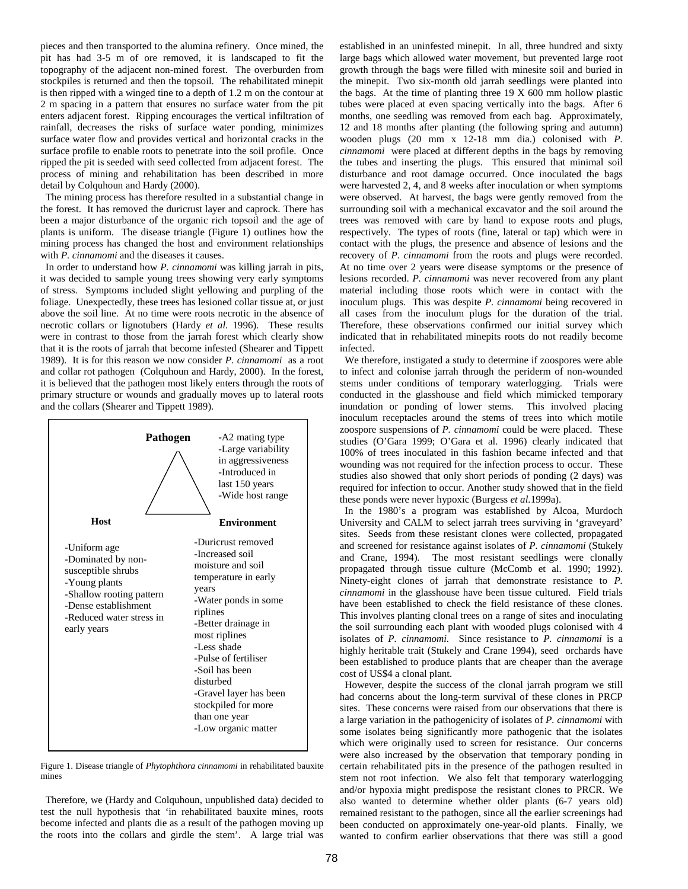pieces and then transported to the alumina refinery. Once mined, the pit has had 3-5 m of ore removed, it is landscaped to fit the topography of the adjacent non-mined forest. The overburden from stockpiles is returned and then the topsoil. The rehabilitated minepit is then ripped with a winged tine to a depth of 1.2 m on the contour at 2 m spacing in a pattern that ensures no surface water from the pit enters adjacent forest. Ripping encourages the vertical infiltration of rainfall, decreases the risks of surface water ponding, minimizes surface water flow and provides vertical and horizontal cracks in the surface profile to enable roots to penetrate into the soil profile. Once ripped the pit is seeded with seed collected from adjacent forest. The process of mining and rehabilitation has been described in more detail by Colquhoun and Hardy (2000).

 The mining process has therefore resulted in a substantial change in the forest. It has removed the duricrust layer and caprock. There has been a major disturbance of the organic rich topsoil and the age of plants is uniform. The disease triangle (Figure 1) outlines how the mining process has changed the host and environment relationships with *P. cinnamomi* and the diseases it causes.

 In order to understand how *P. cinnamomi* was killing jarrah in pits, it was decided to sample young trees showing very early symptoms of stress. Symptoms included slight yellowing and purpling of the foliage. Unexpectedly, these trees has lesioned collar tissue at, or just above the soil line. At no time were roots necrotic in the absence of necrotic collars or lignotubers (Hardy *et al.* 1996). These results were in contrast to those from the jarrah forest which clearly show that it is the roots of jarrah that become infested (Shearer and Tippett 1989). It is for this reason we now consider *P. cinnamomi* as a root and collar rot pathogen (Colquhoun and Hardy, 2000). In the forest, it is believed that the pathogen most likely enters through the roots of primary structure or wounds and gradually moves up to lateral roots and the collars (Shearer and Tippett 1989).



Figure 1. Disease triangle of *Phytophthora cinnamomi* in rehabilitated bauxite mines

 Therefore, we (Hardy and Colquhoun, unpublished data) decided to test the null hypothesis that 'in rehabilitated bauxite mines, roots become infected and plants die as a result of the pathogen moving up the roots into the collars and girdle the stem'. A large trial was established in an uninfested minepit. In all, three hundred and sixty large bags which allowed water movement, but prevented large root growth through the bags were filled with minesite soil and buried in the minepit. Two six-month old jarrah seedlings were planted into the bags. At the time of planting three 19 X 600 mm hollow plastic tubes were placed at even spacing vertically into the bags. After 6 months, one seedling was removed from each bag. Approximately, 12 and 18 months after planting (the following spring and autumn) wooden plugs (20 mm x 12-18 mm dia.) colonised with *P. cinnamomi* were placed at different depths in the bags by removing the tubes and inserting the plugs. This ensured that minimal soil disturbance and root damage occurred. Once inoculated the bags were harvested 2, 4, and 8 weeks after inoculation or when symptoms were observed. At harvest, the bags were gently removed from the surrounding soil with a mechanical excavator and the soil around the trees was removed with care by hand to expose roots and plugs, respectively. The types of roots (fine, lateral or tap) which were in contact with the plugs, the presence and absence of lesions and the recovery of *P. cinnamomi* from the roots and plugs were recorded. At no time over 2 years were disease symptoms or the presence of lesions recorded. *P. cinnamomi* was never recovered from any plant material including those roots which were in contact with the inoculum plugs. This was despite *P. cinnamomi* being recovered in all cases from the inoculum plugs for the duration of the trial. Therefore, these observations confirmed our initial survey which indicated that in rehabilitated minepits roots do not readily become infected.

 We therefore, instigated a study to determine if zoospores were able to infect and colonise jarrah through the periderm of non-wounded stems under conditions of temporary waterlogging. Trials were conducted in the glasshouse and field which mimicked temporary inundation or ponding of lower stems. This involved placing inoculum receptacles around the stems of trees into which motile zoospore suspensions of *P. cinnamomi* could be were placed. These studies (O'Gara 1999; O'Gara et al. 1996) clearly indicated that 100% of trees inoculated in this fashion became infected and that wounding was not required for the infection process to occur. These studies also showed that only short periods of ponding (2 days) was required for infection to occur. Another study showed that in the field these ponds were never hypoxic (Burgess *et al.*1999a).

 In the 1980's a program was established by Alcoa, Murdoch University and CALM to select jarrah trees surviving in 'graveyard' sites. Seeds from these resistant clones were collected, propagated and screened for resistance against isolates of *P. cinnamomi* (Stukely and Crane, 1994). The most resistant seedlings were clonally propagated through tissue culture (McComb et al. 1990; 1992). Ninety-eight clones of jarrah that demonstrate resistance to *P. cinnamomi* in the glasshouse have been tissue cultured. Field trials have been established to check the field resistance of these clones. This involves planting clonal trees on a range of sites and inoculating the soil surrounding each plant with wooded plugs colonised with 4 isolates of *P. cinnamomi.* Since resistance to *P. cinnamomi* is a highly heritable trait (Stukely and Crane 1994), seed orchards have been established to produce plants that are cheaper than the average cost of US\$4 a clonal plant.

 However, despite the success of the clonal jarrah program we still had concerns about the long-term survival of these clones in PRCP sites. These concerns were raised from our observations that there is a large variation in the pathogenicity of isolates of *P. cinnamomi* with some isolates being significantly more pathogenic that the isolates which were originally used to screen for resistance. Our concerns were also increased by the observation that temporary ponding in certain rehabilitated pits in the presence of the pathogen resulted in stem not root infection. We also felt that temporary waterlogging and/or hypoxia might predispose the resistant clones to PRCR. We also wanted to determine whether older plants (6-7 years old) remained resistant to the pathogen, since all the earlier screenings had been conducted on approximately one-year-old plants. Finally, we wanted to confirm earlier observations that there was still a good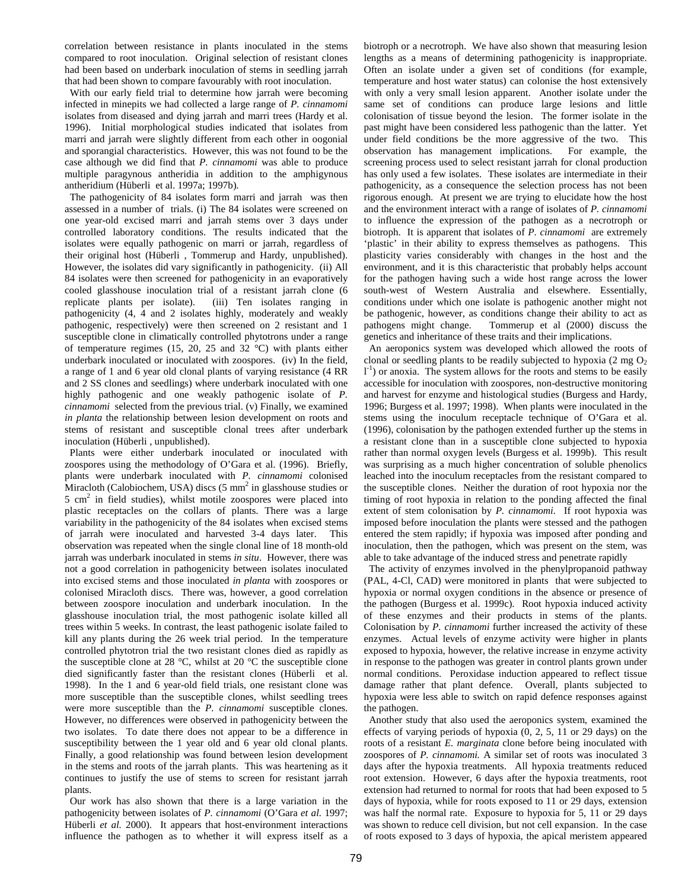correlation between resistance in plants inoculated in the stems compared to root inoculation. Original selection of resistant clones had been based on underbark inoculation of stems in seedling jarrah that had been shown to compare favourably with root inoculation.

 With our early field trial to determine how jarrah were becoming infected in minepits we had collected a large range of *P. cinnamomi* isolates from diseased and dying jarrah and marri trees (Hardy et al. 1996). Initial morphological studies indicated that isolates from marri and jarrah were slightly different from each other in oogonial and sporangial characteristics. However, this was not found to be the case although we did find that *P. cinnamomi* was able to produce multiple paragynous antheridia in addition to the amphigynous antheridium (Hüberli et al. 1997a; 1997b).

 The pathogenicity of 84 isolates form marri and jarrah was then assessed in a number of trials. (i) The 84 isolates were screened on one year-old excised marri and jarrah stems over 3 days under controlled laboratory conditions. The results indicated that the isolates were equally pathogenic on marri or jarrah, regardless of their original host (Hüberli , Tommerup and Hardy, unpublished). However, the isolates did vary significantly in pathogenicity. (ii) All 84 isolates were then screened for pathogenicity in an evaporatively cooled glasshouse inoculation trial of a resistant jarrah clone (6 replicate plants per isolate). (iii) Ten isolates ranging in pathogenicity (4, 4 and 2 isolates highly, moderately and weakly pathogenic, respectively) were then screened on 2 resistant and 1 susceptible clone in climatically controlled phytotrons under a range of temperature regimes (15, 20, 25 and 32 °C) with plants either underbark inoculated or inoculated with zoospores. (iv) In the field, a range of 1 and 6 year old clonal plants of varying resistance (4 RR and 2 SS clones and seedlings) where underbark inoculated with one highly pathogenic and one weakly pathogenic isolate of *P. cinnamomi* selected from the previous trial. (v) Finally, we examined *in planta* the relationship between lesion development on roots and stems of resistant and susceptible clonal trees after underbark inoculation (Hüberli , unpublished).

Plants were either underbark inoculated or inoculated with zoospores using the methodology of O'Gara et al. (1996). Briefly, plants were underbark inoculated with *P. cinnamomi* colonised Miracloth (Calobiochem, USA) discs  $(5 \text{ mm}^2 \text{ in glasshouse studies or})$ 5 cm<sup>2</sup> in field studies), whilst motile zoospores were placed into plastic receptacles on the collars of plants. There was a large variability in the pathogenicity of the 84 isolates when excised stems of jarrah were inoculated and harvested 3-4 days later. This observation was repeated when the single clonal line of 18 month-old jarrah was underbark inoculated in stems *in situ*. However, there was not a good correlation in pathogenicity between isolates inoculated into excised stems and those inoculated *in planta* with zoospores or colonised Miracloth discs. There was, however, a good correlation between zoospore inoculation and underbark inoculation. In the glasshouse inoculation trial, the most pathogenic isolate killed all trees within 5 weeks. In contrast, the least pathogenic isolate failed to kill any plants during the 26 week trial period. In the temperature controlled phytotron trial the two resistant clones died as rapidly as the susceptible clone at 28 °C, whilst at 20 °C the susceptible clone died significantly faster than the resistant clones (Hüberli et al. 1998). In the 1 and 6 year-old field trials, one resistant clone was more susceptible than the susceptible clones, whilst seedling trees were more susceptible than the *P. cinnamomi* susceptible clones. However, no differences were observed in pathogenicity between the two isolates. To date there does not appear to be a difference in susceptibility between the 1 year old and 6 year old clonal plants. Finally, a good relationship was found between lesion development in the stems and roots of the jarrah plants. This was heartening as it continues to justify the use of stems to screen for resistant jarrah plants.

 Our work has also shown that there is a large variation in the pathogenicity between isolates of *P. cinnamomi* (O'Gara *et al.* 1997; Hüberli *et al.* 2000). It appears that host-environment interactions influence the pathogen as to whether it will express itself as a

biotroph or a necrotroph. We have also shown that measuring lesion lengths as a means of determining pathogenicity is inappropriate. Often an isolate under a given set of conditions (for example, temperature and host water status) can colonise the host extensively with only a very small lesion apparent. Another isolate under the same set of conditions can produce large lesions and little colonisation of tissue beyond the lesion. The former isolate in the past might have been considered less pathogenic than the latter. Yet under field conditions be the more aggressive of the two. This observation has management implications. For example, the screening process used to select resistant jarrah for clonal production has only used a few isolates. These isolates are intermediate in their pathogenicity, as a consequence the selection process has not been rigorous enough. At present we are trying to elucidate how the host and the environment interact with a range of isolates of *P. cinnamomi* to influence the expression of the pathogen as a necrotroph or biotroph. It is apparent that isolates of *P. cinnamomi* are extremely 'plastic' in their ability to express themselves as pathogens. This plasticity varies considerably with changes in the host and the environment, and it is this characteristic that probably helps account for the pathogen having such a wide host range across the lower south-west of Western Australia and elsewhere. Essentially, conditions under which one isolate is pathogenic another might not be pathogenic, however, as conditions change their ability to act as pathogens might change. Tommerup et al (2000) discuss the genetics and inheritance of these traits and their implications.

 An aeroponics system was developed which allowed the roots of clonal or seedling plants to be readily subjected to hypoxia (2 mg  $O_2$ ) l<sup>-1</sup>) or anoxia. The system allows for the roots and stems to be easily accessible for inoculation with zoospores, non-destructive monitoring and harvest for enzyme and histological studies (Burgess and Hardy, 1996; Burgess et al. 1997; 1998). When plants were inoculated in the stems using the inoculum receptacle technique of O'Gara et al. (1996), colonisation by the pathogen extended further up the stems in a resistant clone than in a susceptible clone subjected to hypoxia rather than normal oxygen levels (Burgess et al. 1999b). This result was surprising as a much higher concentration of soluble phenolics leached into the inoculum receptacles from the resistant compared to the susceptible clones. Neither the duration of root hypoxia nor the timing of root hypoxia in relation to the ponding affected the final extent of stem colonisation by *P. cinnamomi.* If root hypoxia was imposed before inoculation the plants were stessed and the pathogen entered the stem rapidly; if hypoxia was imposed after ponding and inoculation, then the pathogen, which was present on the stem, was able to take advantage of the induced stress and penetrate rapidly

 The activity of enzymes involved in the phenylpropanoid pathway (PAL, 4-Cl, CAD) were monitored in plants that were subjected to hypoxia or normal oxygen conditions in the absence or presence of the pathogen (Burgess et al. 1999c). Root hypoxia induced activity of these enzymes and their products in stems of the plants. Colonisation by *P. cinnamomi* further increased the activity of these enzymes. Actual levels of enzyme activity were higher in plants exposed to hypoxia, however, the relative increase in enzyme activity in response to the pathogen was greater in control plants grown under normal conditions. Peroxidase induction appeared to reflect tissue damage rather that plant defence. Overall, plants subjected to hypoxia were less able to switch on rapid defence responses against the pathogen.

 Another study that also used the aeroponics system, examined the effects of varying periods of hypoxia (0, 2, 5, 11 or 29 days) on the roots of a resistant *E. marginata* clone before being inoculated with zoospores of *P. cinnamomi.* A similar set of roots was inoculated 3 days after the hypoxia treatments. All hypoxia treatments reduced root extension. However, 6 days after the hypoxia treatments, root extension had returned to normal for roots that had been exposed to 5 days of hypoxia, while for roots exposed to 11 or 29 days, extension was half the normal rate. Exposure to hypoxia for 5, 11 or 29 days was shown to reduce cell division, but not cell expansion. In the case of roots exposed to 3 days of hypoxia, the apical meristem appeared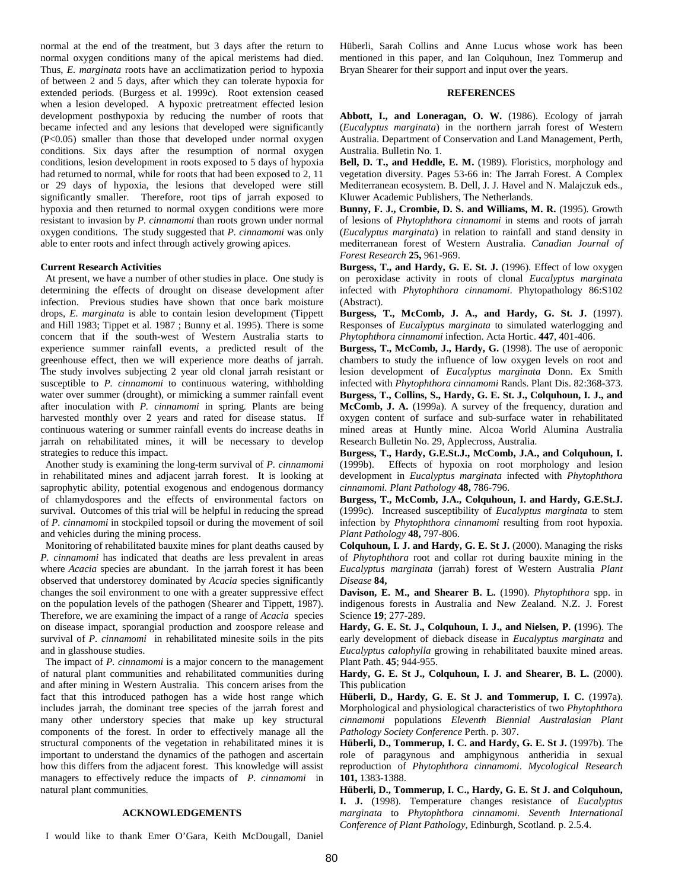normal at the end of the treatment, but 3 days after the return to normal oxygen conditions many of the apical meristems had died. Thus, *E. marginata* roots have an acclimatization period to hypoxia of between 2 and 5 days, after which they can tolerate hypoxia for extended periods. (Burgess et al. 1999c). Root extension ceased when a lesion developed. A hypoxic pretreatment effected lesion development posthypoxia by reducing the number of roots that became infected and any lesions that developed were significantly (P<0.05) smaller than those that developed under normal oxygen conditions. Six days after the resumption of normal oxygen conditions, lesion development in roots exposed to 5 days of hypoxia had returned to normal, while for roots that had been exposed to 2, 11 or 29 days of hypoxia, the lesions that developed were still significantly smaller. Therefore, root tips of jarrah exposed to hypoxia and then returned to normal oxygen conditions were more resistant to invasion by *P. cinnamomi* than roots grown under normal oxygen conditions. The study suggested that *P. cinnamomi* was only able to enter roots and infect through actively growing apices.

## **Current Research Activities**

 At present, we have a number of other studies in place. One study is determining the effects of drought on disease development after infection. Previous studies have shown that once bark moisture drops, *E. marginata* is able to contain lesion development (Tippett and Hill 1983; Tippet et al. 1987 ; Bunny et al. 1995). There is some concern that if the south-west of Western Australia starts to experience summer rainfall events, a predicted result of the greenhouse effect, then we will experience more deaths of jarrah. The study involves subjecting 2 year old clonal jarrah resistant or susceptible to *P. cinnamomi* to continuous watering, withholding water over summer (drought), or mimicking a summer rainfall event after inoculation with *P. cinnamomi* in spring*.* Plants are being harvested monthly over 2 years and rated for disease status. If continuous watering or summer rainfall events do increase deaths in jarrah on rehabilitated mines, it will be necessary to develop strategies to reduce this impact.

 Another study is examining the long-term survival of *P. cinnamomi* in rehabilitated mines and adjacent jarrah forest. It is looking at saprophytic ability, potential exogenous and endogenous dormancy of chlamydospores and the effects of environmental factors on survival. Outcomes of this trial will be helpful in reducing the spread of *P. cinnamomi* in stockpiled topsoil or during the movement of soil and vehicles during the mining process.

 Monitoring of rehabilitated bauxite mines for plant deaths caused by *P. cinnamomi* has indicated that deaths are less prevalent in areas where *Acacia* species are abundant. In the jarrah forest it has been observed that understorey dominated by *Acacia* species significantly changes the soil environment to one with a greater suppressive effect on the population levels of the pathogen (Shearer and Tippett, 1987). Therefore, we are examining the impact of a range of *Acacia* species on disease impact, sporangial production and zoospore release and survival of *P. cinnamomi* in rehabilitated minesite soils in the pits and in glasshouse studies.

 The impact of *P. cinnamomi* is a major concern to the management of natural plant communities and rehabilitated communities during and after mining in Western Australia. This concern arises from the fact that this introduced pathogen has a wide host range which includes jarrah, the dominant tree species of the jarrah forest and many other understory species that make up key structural components of the forest. In order to effectively manage all the structural components of the vegetation in rehabilitated mines it is important to understand the dynamics of the pathogen and ascertain how this differs from the adjacent forest. This knowledge will assist managers to effectively reduce the impacts of *P. cinnamomi* in natural plant communities*.*

## **ACKNOWLEDGEMENTS**

I would like to thank Emer O'Gara, Keith McDougall, Daniel

Hüberli, Sarah Collins and Anne Lucus whose work has been mentioned in this paper, and Ian Colquhoun, Inez Tommerup and Bryan Shearer for their support and input over the years.

# **REFERENCES**

**Abbott, I., and Loneragan, O. W.** (1986). Ecology of jarrah (*Eucalyptus marginata*) in the northern jarrah forest of Western Australia. Department of Conservation and Land Management, Perth, Australia. Bulletin No. 1.

**Bell, D. T., and Heddle, E. M.** (1989). Floristics, morphology and vegetation diversity. Pages 53-66 in: The Jarrah Forest. A Complex Mediterranean ecosystem. B. Dell, J. J. Havel and N. Malajczuk eds., Kluwer Academic Publishers, The Netherlands.

**Bunny, F. J., Crombie, D. S. and Williams, M. R.** (1995). Growth of lesions of *Phytophthora cinnamomi* in stems and roots of jarrah (*Eucalyptus marginata*) in relation to rainfall and stand density in mediterranean forest of Western Australia. *Canadian Journal of Forest Research* **25,** 961-969.

**Burgess, T., and Hardy, G. E. St. J.** (1996). Effect of low oxygen on peroxidase activity in roots of clonal *Eucalyptus marginata* infected with *Phytophthora cinnamomi*. Phytopathology 86:S102 (Abstract).

**Burgess, T., McComb, J. A., and Hardy, G. St. J.** (1997). Responses of *Eucalyptus marginata* to simulated waterlogging and *Phytophthora cinnamomi* infection. Acta Hortic. **447**, 401-406.

**Burgess, T., McComb, J., Hardy, G.** (1998). The use of aeroponic chambers to study the influence of low oxygen levels on root and lesion development of *Eucalyptus marginata* Donn. Ex Smith infected with *Phytophthora cinnamomi* Rands. Plant Dis. 82:368-373.

**Burgess, T., Collins, S., Hardy, G. E. St. J., Colquhoun, I. J., and McComb, J. A.** (1999a). A survey of the frequency, duration and oxygen content of surface and sub-surface water in rehabilitated mined areas at Huntly mine. Alcoa World Alumina Australia Research Bulletin No. 29, Applecross, Australia.

**Burgess, T., Hardy, G.E.St.J., McComb, J.A., and Colquhoun, I.** (1999b). Effects of hypoxia on root morphology and lesion development in *Eucalyptus marginata* infected with *Phytophthora cinnamomi. Plant Pathology* **48,** 786-796.

**Burgess, T., McComb, J.A., Colquhoun, I. and Hardy, G.E.St.J.** (1999c). Increased susceptibility of *Eucalyptus marginata* to stem infection by *Phytophthora cinnamomi* resulting from root hypoxia. *Plant Pathology* **48,** 797-806.

**Colquhoun, I. J. and Hardy, G. E. St J.** (2000). Managing the risks of *Phytophthora* root and collar rot during bauxite mining in the *Eucalyptus marginata* (jarrah) forest of Western Australia *Plant Disease* **84,**

**Davison, E. M., and Shearer B. L.** (1990). *Phytophthora* spp. in indigenous forests in Australia and New Zealand. N.Z. J. Forest Science **19**; 277-289.

**Hardy, G. E. St. J., Colquhoun, I. J., and Nielsen, P. (**1996). The early development of dieback disease in *Eucalyptus marginata* and *Eucalyptus calophylla* growing in rehabilitated bauxite mined areas. Plant Path. **45**; 944-955.

**Hardy, G. E. St J., Colquhoun, I. J. and Shearer, B. L.** (2000). This publication

**Hüberli, D., Hardy, G. E. St J. and Tommerup, I. C.** (1997a). Morphological and physiological characteristics of two *Phytophthora cinnamomi* populations *Eleventh Biennial Australasian Plant Pathology Society Conference* Perth. p. 307.

**Hüberli, D., Tommerup, I. C. and Hardy, G. E. St J.** (1997b). The role of paragynous and amphigynous antheridia in sexual reproduction of *Phytophthora cinnamomi*. *Mycological Research* **101,** 1383-1388.

**Hüberli, D., Tommerup, I. C., Hardy, G. E. St J. and Colquhoun, I. J.** (1998). Temperature changes resistance of *Eucalyptus marginata* to *Phytophthora cinnamomi. Seventh International Conference of Plant Pathology*, Edinburgh, Scotland. p. 2.5.4.